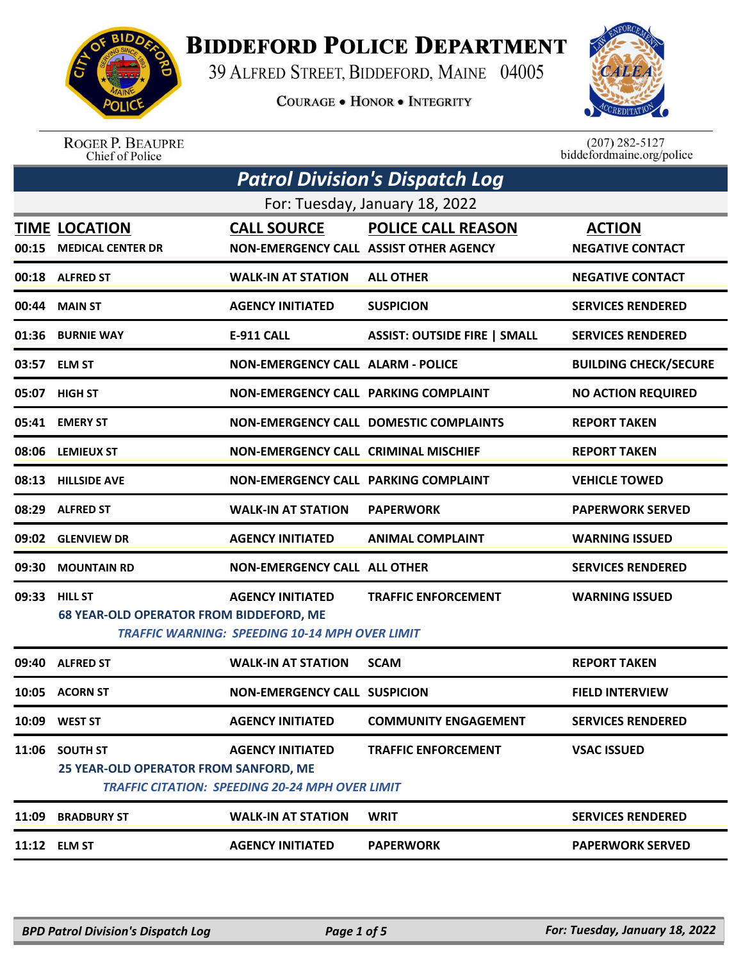

## **BIDDEFORD POLICE DEPARTMENT**

39 ALFRED STREET, BIDDEFORD, MAINE 04005

**COURAGE . HONOR . INTEGRITY** 



ROGER P. BEAUPRE<br>Chief of Police

 $(207)$  282-5127 biddefordmaine.org/police

|       | <b>Patrol Division's Dispatch Log</b>                                                                   |                                                                                   |                                               |                                          |  |  |  |
|-------|---------------------------------------------------------------------------------------------------------|-----------------------------------------------------------------------------------|-----------------------------------------------|------------------------------------------|--|--|--|
|       | For: Tuesday, January 18, 2022                                                                          |                                                                                   |                                               |                                          |  |  |  |
| 00:15 | <b>TIME LOCATION</b><br><b>MEDICAL CENTER DR</b>                                                        | <b>CALL SOURCE</b><br>NON-EMERGENCY CALL ASSIST OTHER AGENCY                      | <b>POLICE CALL REASON</b>                     | <b>ACTION</b><br><b>NEGATIVE CONTACT</b> |  |  |  |
|       | 00:18 ALFRED ST                                                                                         | <b>WALK-IN AT STATION</b>                                                         | <b>ALL OTHER</b>                              | <b>NEGATIVE CONTACT</b>                  |  |  |  |
|       | 00:44 MAIN ST                                                                                           | <b>AGENCY INITIATED</b>                                                           | <b>SUSPICION</b>                              | <b>SERVICES RENDERED</b>                 |  |  |  |
|       | 01:36 BURNIE WAY                                                                                        | <b>E-911 CALL</b>                                                                 | <b>ASSIST: OUTSIDE FIRE   SMALL</b>           | <b>SERVICES RENDERED</b>                 |  |  |  |
|       | 03:57 ELM ST                                                                                            | <b>NON-EMERGENCY CALL ALARM - POLICE</b>                                          |                                               | <b>BUILDING CHECK/SECURE</b>             |  |  |  |
|       | 05:07 HIGH ST                                                                                           | <b>NON-EMERGENCY CALL PARKING COMPLAINT</b>                                       |                                               | <b>NO ACTION REQUIRED</b>                |  |  |  |
|       | 05:41 EMERY ST                                                                                          |                                                                                   | <b>NON-EMERGENCY CALL DOMESTIC COMPLAINTS</b> | <b>REPORT TAKEN</b>                      |  |  |  |
|       | 08:06 LEMIEUX ST                                                                                        | <b>NON-EMERGENCY CALL CRIMINAL MISCHIEF</b>                                       |                                               | <b>REPORT TAKEN</b>                      |  |  |  |
| 08:13 | <b>HILLSIDE AVE</b>                                                                                     | NON-EMERGENCY CALL PARKING COMPLAINT                                              |                                               | <b>VEHICLE TOWED</b>                     |  |  |  |
| 08:29 | <b>ALFRED ST</b>                                                                                        | <b>WALK-IN AT STATION</b>                                                         | <b>PAPERWORK</b>                              | <b>PAPERWORK SERVED</b>                  |  |  |  |
|       | 09:02 GLENVIEW DR                                                                                       | <b>AGENCY INITIATED</b>                                                           | <b>ANIMAL COMPLAINT</b>                       | <b>WARNING ISSUED</b>                    |  |  |  |
| 09:30 | <b>MOUNTAIN RD</b>                                                                                      | <b>NON-EMERGENCY CALL ALL OTHER</b>                                               |                                               | <b>SERVICES RENDERED</b>                 |  |  |  |
| 09:33 | <b>HILL ST</b>                                                                                          | <b>AGENCY INITIATED</b>                                                           | <b>TRAFFIC ENFORCEMENT</b>                    | <b>WARNING ISSUED</b>                    |  |  |  |
|       | <b>68 YEAR-OLD OPERATOR FROM BIDDEFORD, ME</b><br><b>TRAFFIC WARNING: SPEEDING 10-14 MPH OVER LIMIT</b> |                                                                                   |                                               |                                          |  |  |  |
| 09:40 | <b>ALFRED ST</b>                                                                                        | <b>WALK-IN AT STATION</b>                                                         | <b>SCAM</b>                                   | <b>REPORT TAKEN</b>                      |  |  |  |
|       | 10:05 ACORN ST                                                                                          | <b>NON-EMERGENCY CALL SUSPICION</b>                                               |                                               | <b>FIELD INTERVIEW</b>                   |  |  |  |
|       | 10:09 WEST ST                                                                                           | <b>AGENCY INITIATED</b>                                                           | <b>COMMUNITY ENGAGEMENT</b>                   | <b>SERVICES RENDERED</b>                 |  |  |  |
| 11:06 | <b>SOUTH ST</b><br>25 YEAR-OLD OPERATOR FROM SANFORD, ME                                                | <b>AGENCY INITIATED</b><br><b>TRAFFIC CITATION: SPEEDING 20-24 MPH OVER LIMIT</b> | <b>TRAFFIC ENFORCEMENT</b>                    | <b>VSAC ISSUED</b>                       |  |  |  |
| 11:09 | <b>BRADBURY ST</b>                                                                                      | <b>WALK-IN AT STATION</b>                                                         | <b>WRIT</b>                                   | <b>SERVICES RENDERED</b>                 |  |  |  |
| 11:12 | <b>ELM ST</b>                                                                                           | <b>AGENCY INITIATED</b>                                                           | <b>PAPERWORK</b>                              | <b>PAPERWORK SERVED</b>                  |  |  |  |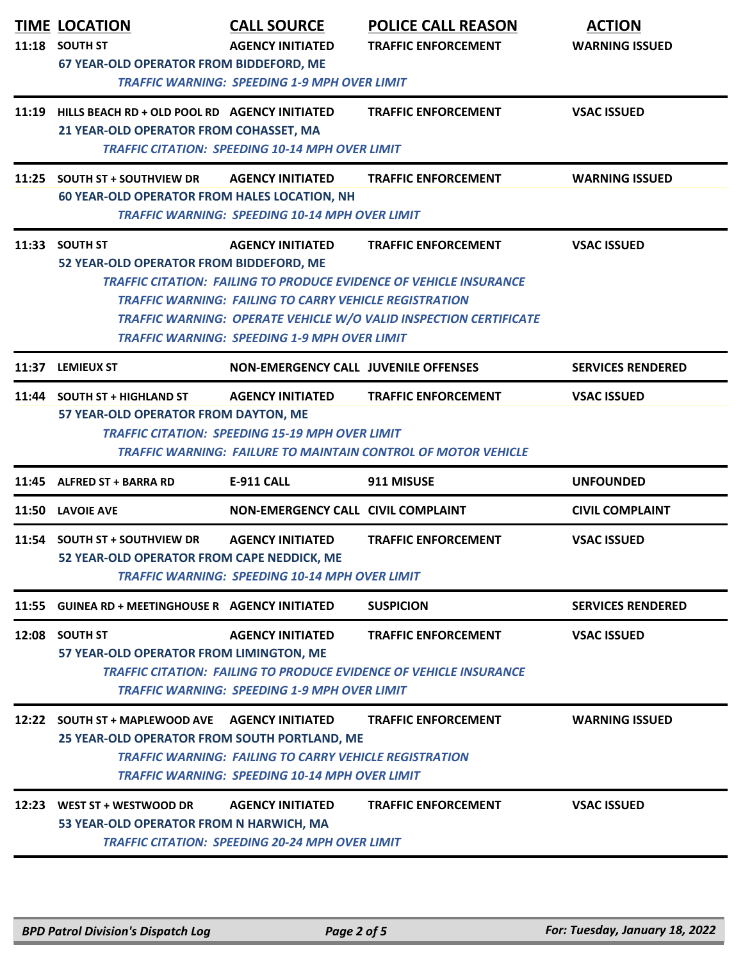|       | <b>TIME LOCATION</b><br>11:18 SOUTH ST<br>67 YEAR-OLD OPERATOR FROM BIDDEFORD, ME             | <b>CALL SOURCE</b><br><b>AGENCY INITIATED</b><br><b>TRAFFIC WARNING: SPEEDING 1-9 MPH OVER LIMIT</b>                                            | <b>POLICE CALL REASON</b><br><b>TRAFFIC ENFORCEMENT</b>                                                                                                                             | <b>ACTION</b><br><b>WARNING ISSUED</b> |
|-------|-----------------------------------------------------------------------------------------------|-------------------------------------------------------------------------------------------------------------------------------------------------|-------------------------------------------------------------------------------------------------------------------------------------------------------------------------------------|----------------------------------------|
|       | 11:19 HILLS BEACH RD + OLD POOL RD AGENCY INITIATED<br>21 YEAR-OLD OPERATOR FROM COHASSET, MA | <b>TRAFFIC CITATION: SPEEDING 10-14 MPH OVER LIMIT</b>                                                                                          | <b>TRAFFIC ENFORCEMENT</b>                                                                                                                                                          | <b>VSAC ISSUED</b>                     |
| 11:25 | <b>SOUTH ST + SOUTHVIEW DR</b><br><b>60 YEAR-OLD OPERATOR FROM HALES LOCATION, NH</b>         | <b>AGENCY INITIATED</b><br><b>TRAFFIC WARNING: SPEEDING 10-14 MPH OVER LIMIT</b>                                                                | <b>TRAFFIC ENFORCEMENT</b>                                                                                                                                                          | <b>WARNING ISSUED</b>                  |
|       | 11:33 SOUTH ST<br>52 YEAR-OLD OPERATOR FROM BIDDEFORD, ME                                     | <b>AGENCY INITIATED</b><br><b>TRAFFIC WARNING: FAILING TO CARRY VEHICLE REGISTRATION</b><br><b>TRAFFIC WARNING: SPEEDING 1-9 MPH OVER LIMIT</b> | <b>TRAFFIC ENFORCEMENT</b><br><b>TRAFFIC CITATION: FAILING TO PRODUCE EVIDENCE OF VEHICLE INSURANCE</b><br><b>TRAFFIC WARNING: OPERATE VEHICLE W/O VALID INSPECTION CERTIFICATE</b> | <b>VSAC ISSUED</b>                     |
| 11:37 | <b>LEMIEUX ST</b>                                                                             | <b>NON-EMERGENCY CALL JUVENILE OFFENSES</b>                                                                                                     |                                                                                                                                                                                     | <b>SERVICES RENDERED</b>               |
|       | 11:44 SOUTH ST + HIGHLAND ST<br>57 YEAR-OLD OPERATOR FROM DAYTON, ME                          | <b>AGENCY INITIATED</b><br><b>TRAFFIC CITATION: SPEEDING 15-19 MPH OVER LIMIT</b>                                                               | <b>TRAFFIC ENFORCEMENT</b><br><b>TRAFFIC WARNING: FAILURE TO MAINTAIN CONTROL OF MOTOR VEHICLE</b>                                                                                  | <b>VSAC ISSUED</b>                     |
| 11:45 | <b>ALFRED ST + BARRA RD</b>                                                                   | <b>E-911 CALL</b>                                                                                                                               | 911 MISUSE                                                                                                                                                                          | <b>UNFOUNDED</b>                       |
|       | 11:50 LAVOIE AVE                                                                              | <b>NON-EMERGENCY CALL CIVIL COMPLAINT</b>                                                                                                       |                                                                                                                                                                                     | <b>CIVIL COMPLAINT</b>                 |
| 11:54 | <b>SOUTH ST + SOUTHVIEW DR</b><br>52 YEAR-OLD OPERATOR FROM CAPE NEDDICK, ME                  | <b>AGENCY INITIATED</b><br><b>TRAFFIC WARNING: SPEEDING 10-14 MPH OVER LIMIT</b>                                                                | <b>TRAFFIC ENFORCEMENT</b>                                                                                                                                                          | <b>VSAC ISSUED</b>                     |
| 11:55 | <b>GUINEA RD + MEETINGHOUSE R AGENCY INITIATED</b>                                            |                                                                                                                                                 | <b>SUSPICION</b>                                                                                                                                                                    | <b>SERVICES RENDERED</b>               |
|       | 12:08 SOUTH ST<br>57 YEAR-OLD OPERATOR FROM LIMINGTON, ME                                     | <b>AGENCY INITIATED</b><br><b>TRAFFIC WARNING: SPEEDING 1-9 MPH OVER LIMIT</b>                                                                  | <b>TRAFFIC ENFORCEMENT</b><br><b>TRAFFIC CITATION: FAILING TO PRODUCE EVIDENCE OF VEHICLE INSURANCE</b>                                                                             | <b>VSAC ISSUED</b>                     |
| 12:22 | <b>SOUTH ST + MAPLEWOOD AVE</b><br>25 YEAR-OLD OPERATOR FROM SOUTH PORTLAND, ME               | <b>AGENCY INITIATED</b><br><b>TRAFFIC WARNING: FAILING TO CARRY VEHICLE REGISTRATION</b><br>TRAFFIC WARNING: SPEEDING 10-14 MPH OVER LIMIT      | <b>TRAFFIC ENFORCEMENT</b>                                                                                                                                                          | <b>WARNING ISSUED</b>                  |
|       | 12:23 WEST ST + WESTWOOD DR<br>53 YEAR-OLD OPERATOR FROM N HARWICH, MA                        | <b>AGENCY INITIATED</b><br><b>TRAFFIC CITATION: SPEEDING 20-24 MPH OVER LIMIT</b>                                                               | <b>TRAFFIC ENFORCEMENT</b>                                                                                                                                                          | <b>VSAC ISSUED</b>                     |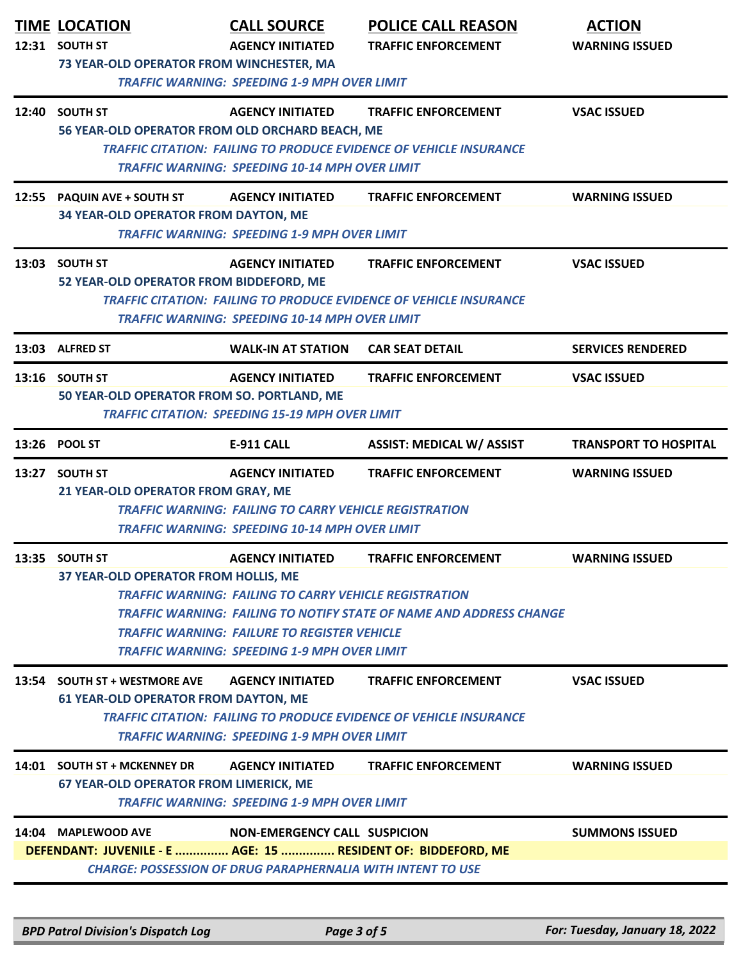|       | <b>TIME LOCATION</b><br>12:31 SOUTH ST<br>73 YEAR-OLD OPERATOR FROM WINCHESTER, MA                                                                                                                                                                                                              | <b>CALL SOURCE</b><br><b>AGENCY INITIATED</b><br><b>TRAFFIC WARNING: SPEEDING 1-9 MPH OVER LIMIT</b>                                                                                                   | <b>POLICE CALL REASON</b><br><b>TRAFFIC ENFORCEMENT</b>                                                  | <b>ACTION</b><br><b>WARNING ISSUED</b> |  |
|-------|-------------------------------------------------------------------------------------------------------------------------------------------------------------------------------------------------------------------------------------------------------------------------------------------------|--------------------------------------------------------------------------------------------------------------------------------------------------------------------------------------------------------|----------------------------------------------------------------------------------------------------------|----------------------------------------|--|
|       | 12:40 SOUTH ST<br>56 YEAR-OLD OPERATOR FROM OLD ORCHARD BEACH, ME                                                                                                                                                                                                                               | <b>AGENCY INITIATED</b><br><b>TRAFFIC WARNING: SPEEDING 10-14 MPH OVER LIMIT</b>                                                                                                                       | <b>TRAFFIC ENFORCEMENT</b><br><b>TRAFFIC CITATION: FAILING TO PRODUCE EVIDENCE OF VEHICLE INSURANCE</b>  | <b>VSAC ISSUED</b>                     |  |
| 12:55 | <b>PAQUIN AVE + SOUTH ST</b><br>34 YEAR-OLD OPERATOR FROM DAYTON, ME                                                                                                                                                                                                                            | <b>AGENCY INITIATED</b><br><b>TRAFFIC WARNING: SPEEDING 1-9 MPH OVER LIMIT</b>                                                                                                                         | <b>TRAFFIC ENFORCEMENT</b>                                                                               | <b>WARNING ISSUED</b>                  |  |
|       | 13:03 SOUTH ST<br><b>AGENCY INITIATED</b><br><b>TRAFFIC ENFORCEMENT</b><br><b>VSAC ISSUED</b><br>52 YEAR-OLD OPERATOR FROM BIDDEFORD, ME<br><b>TRAFFIC CITATION: FAILING TO PRODUCE EVIDENCE OF VEHICLE INSURANCE</b><br><b>TRAFFIC WARNING: SPEEDING 10-14 MPH OVER LIMIT</b>                  |                                                                                                                                                                                                        |                                                                                                          |                                        |  |
| 13:03 | <b>ALFRED ST</b>                                                                                                                                                                                                                                                                                | <b>WALK-IN AT STATION</b>                                                                                                                                                                              | <b>CAR SEAT DETAIL</b>                                                                                   | <b>SERVICES RENDERED</b>               |  |
|       | 13:16 SOUTH ST<br>50 YEAR-OLD OPERATOR FROM SO. PORTLAND, ME                                                                                                                                                                                                                                    | <b>AGENCY INITIATED</b><br><b>TRAFFIC CITATION: SPEEDING 15-19 MPH OVER LIMIT</b>                                                                                                                      | <b>TRAFFIC ENFORCEMENT</b>                                                                               | <b>VSAC ISSUED</b>                     |  |
|       | 13:26 POOL ST                                                                                                                                                                                                                                                                                   | E-911 CALL                                                                                                                                                                                             | <b>ASSIST: MEDICAL W/ ASSIST</b>                                                                         | <b>TRANSPORT TO HOSPITAL</b>           |  |
|       | 13:27 SOUTH ST<br>21 YEAR-OLD OPERATOR FROM GRAY, ME                                                                                                                                                                                                                                            | <b>AGENCY INITIATED</b><br><b>TRAFFIC WARNING: FAILING TO CARRY VEHICLE REGISTRATION</b><br><b>TRAFFIC WARNING: SPEEDING 10-14 MPH OVER LIMIT</b>                                                      | <b>TRAFFIC ENFORCEMENT</b>                                                                               | <b>WARNING ISSUED</b>                  |  |
|       | 13:35 SOUTH ST<br>37 YEAR-OLD OPERATOR FROM HOLLIS, ME                                                                                                                                                                                                                                          | <b>AGENCY INITIATED</b><br><b>TRAFFIC WARNING: FAILING TO CARRY VEHICLE REGISTRATION</b><br><b>TRAFFIC WARNING: FAILURE TO REGISTER VEHICLE</b><br><b>TRAFFIC WARNING: SPEEDING 1-9 MPH OVER LIMIT</b> | <b>TRAFFIC ENFORCEMENT</b><br><b>TRAFFIC WARNING: FAILING TO NOTIFY STATE OF NAME AND ADDRESS CHANGE</b> | <b>WARNING ISSUED</b>                  |  |
|       | 13:54 SOUTH ST + WESTMORE AVE<br><b>AGENCY INITIATED</b><br><b>TRAFFIC ENFORCEMENT</b><br><b>VSAC ISSUED</b><br><b>61 YEAR-OLD OPERATOR FROM DAYTON, ME</b><br><b>TRAFFIC CITATION: FAILING TO PRODUCE EVIDENCE OF VEHICLE INSURANCE</b><br><b>TRAFFIC WARNING: SPEEDING 1-9 MPH OVER LIMIT</b> |                                                                                                                                                                                                        |                                                                                                          |                                        |  |
|       | 14:01 SOUTH ST + MCKENNEY DR<br><b>67 YEAR-OLD OPERATOR FROM LIMERICK, ME</b>                                                                                                                                                                                                                   | <b>AGENCY INITIATED</b><br><b>TRAFFIC WARNING: SPEEDING 1-9 MPH OVER LIMIT</b>                                                                                                                         | <b>TRAFFIC ENFORCEMENT</b>                                                                               | <b>WARNING ISSUED</b>                  |  |
|       | 14:04 MAPLEWOOD AVE<br>DEFENDANT: JUVENILE - E  AGE: 15  RESIDENT OF: BIDDEFORD, ME                                                                                                                                                                                                             | <b>NON-EMERGENCY CALL SUSPICION</b><br><b>CHARGE: POSSESSION OF DRUG PARAPHERNALIA WITH INTENT TO USE</b>                                                                                              |                                                                                                          | <b>SUMMONS ISSUED</b>                  |  |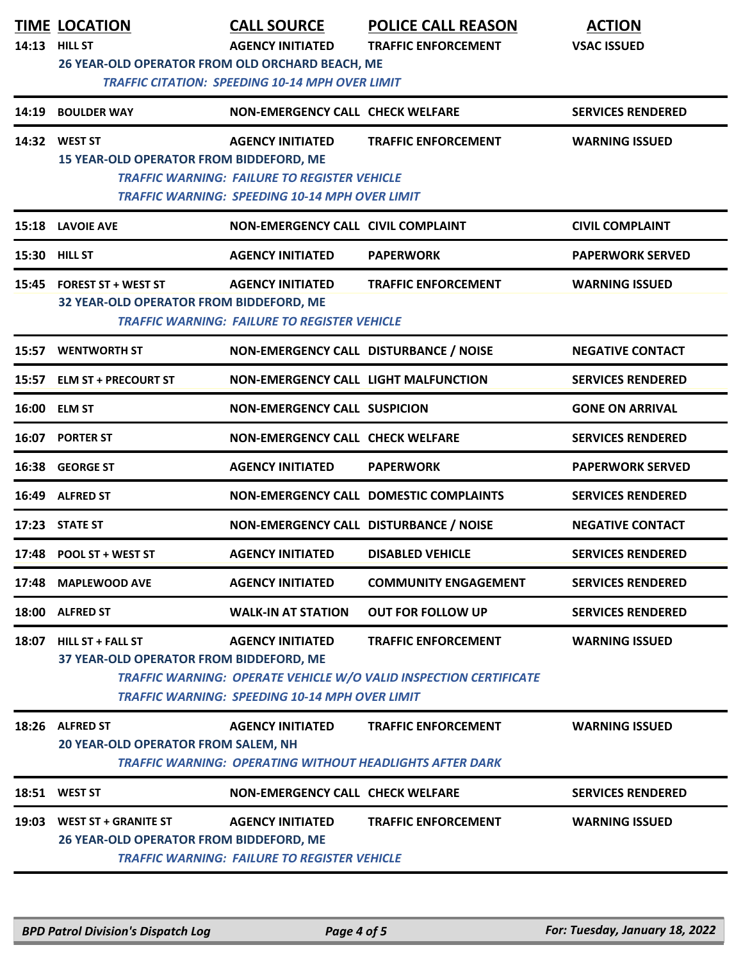|       | <b>TIME LOCATION</b>                                                   | <b>CALL SOURCE</b>                                                                                                                      | <b>POLICE CALL REASON</b>                                                                              | <b>ACTION</b>            |
|-------|------------------------------------------------------------------------|-----------------------------------------------------------------------------------------------------------------------------------------|--------------------------------------------------------------------------------------------------------|--------------------------|
| 14:13 | <b>HILL ST</b>                                                         | <b>AGENCY INITIATED</b>                                                                                                                 | <b>TRAFFIC ENFORCEMENT</b>                                                                             | <b>VSAC ISSUED</b>       |
|       | 26 YEAR-OLD OPERATOR FROM OLD ORCHARD BEACH, ME                        | <b>TRAFFIC CITATION: SPEEDING 10-14 MPH OVER LIMIT</b>                                                                                  |                                                                                                        |                          |
| 14:19 | <b>BOULDER WAY</b>                                                     | <b>NON-EMERGENCY CALL CHECK WELFARE</b>                                                                                                 |                                                                                                        | <b>SERVICES RENDERED</b> |
|       | 14:32 WEST ST<br><b>15 YEAR-OLD OPERATOR FROM BIDDEFORD, ME</b>        | <b>AGENCY INITIATED</b><br><b>TRAFFIC WARNING: FAILURE TO REGISTER VEHICLE</b><br><b>TRAFFIC WARNING: SPEEDING 10-14 MPH OVER LIMIT</b> | <b>TRAFFIC ENFORCEMENT</b>                                                                             | <b>WARNING ISSUED</b>    |
| 15:18 | <b>LAVOIE AVE</b>                                                      | <b>NON-EMERGENCY CALL CIVIL COMPLAINT</b>                                                                                               |                                                                                                        | <b>CIVIL COMPLAINT</b>   |
|       | <b>15:30 HILL ST</b>                                                   | <b>AGENCY INITIATED</b>                                                                                                                 | <b>PAPERWORK</b>                                                                                       | <b>PAPERWORK SERVED</b>  |
| 15:45 | <b>FOREST ST + WEST ST</b><br>32 YEAR-OLD OPERATOR FROM BIDDEFORD, ME  | <b>AGENCY INITIATED</b><br><b>TRAFFIC WARNING: FAILURE TO REGISTER VEHICLE</b>                                                          | <b>TRAFFIC ENFORCEMENT</b>                                                                             | <b>WARNING ISSUED</b>    |
| 15:57 | <b>WENTWORTH ST</b>                                                    | NON-EMERGENCY CALL DISTURBANCE / NOISE                                                                                                  |                                                                                                        | <b>NEGATIVE CONTACT</b>  |
| 15:57 | <b>ELM ST + PRECOURT ST</b>                                            | <b>NON-EMERGENCY CALL LIGHT MALFUNCTION</b>                                                                                             |                                                                                                        | <b>SERVICES RENDERED</b> |
| 16:00 | <b>ELM ST</b>                                                          | <b>NON-EMERGENCY CALL SUSPICION</b>                                                                                                     |                                                                                                        | <b>GONE ON ARRIVAL</b>   |
| 16:07 | <b>PORTER ST</b>                                                       | <b>NON-EMERGENCY CALL CHECK WELFARE</b>                                                                                                 |                                                                                                        | <b>SERVICES RENDERED</b> |
| 16:38 | <b>GEORGE ST</b>                                                       | <b>AGENCY INITIATED</b>                                                                                                                 | <b>PAPERWORK</b>                                                                                       | <b>PAPERWORK SERVED</b>  |
| 16:49 | <b>ALFRED ST</b>                                                       |                                                                                                                                         | NON-EMERGENCY CALL DOMESTIC COMPLAINTS                                                                 | <b>SERVICES RENDERED</b> |
| 17:23 | <b>STATE ST</b>                                                        | NON-EMERGENCY CALL DISTURBANCE / NOISE                                                                                                  |                                                                                                        | <b>NEGATIVE CONTACT</b>  |
|       | 17:48 POOL ST + WEST ST                                                | <b>AGENCY INITIATED</b>                                                                                                                 | <b>DISABLED VEHICLE</b>                                                                                | <b>SERVICES RENDERED</b> |
| 17:48 | <b>MAPLEWOOD AVE</b>                                                   | <b>AGENCY INITIATED</b>                                                                                                                 | <b>COMMUNITY ENGAGEMENT</b>                                                                            | <b>SERVICES RENDERED</b> |
| 18:00 | <b>ALFRED ST</b>                                                       | <b>WALK-IN AT STATION</b>                                                                                                               | <b>OUT FOR FOLLOW UP</b>                                                                               | <b>SERVICES RENDERED</b> |
| 18:07 | <b>HILL ST + FALL ST</b><br>37 YEAR-OLD OPERATOR FROM BIDDEFORD, ME    | <b>AGENCY INITIATED</b><br><b>TRAFFIC WARNING: SPEEDING 10-14 MPH OVER LIMIT</b>                                                        | <b>TRAFFIC ENFORCEMENT</b><br><b>TRAFFIC WARNING: OPERATE VEHICLE W/O VALID INSPECTION CERTIFICATE</b> | <b>WARNING ISSUED</b>    |
| 18:26 | <b>ALFRED ST</b><br>20 YEAR-OLD OPERATOR FROM SALEM, NH                | <b>AGENCY INITIATED</b>                                                                                                                 | <b>TRAFFIC ENFORCEMENT</b><br><b>TRAFFIC WARNING: OPERATING WITHOUT HEADLIGHTS AFTER DARK</b>          | <b>WARNING ISSUED</b>    |
|       | 18:51 WEST ST                                                          | <b>NON-EMERGENCY CALL CHECK WELFARE</b>                                                                                                 |                                                                                                        | <b>SERVICES RENDERED</b> |
| 19:03 | <b>WEST ST + GRANITE ST</b><br>26 YEAR-OLD OPERATOR FROM BIDDEFORD, ME | <b>AGENCY INITIATED</b><br><b>TRAFFIC WARNING: FAILURE TO REGISTER VEHICLE</b>                                                          | <b>TRAFFIC ENFORCEMENT</b>                                                                             | <b>WARNING ISSUED</b>    |